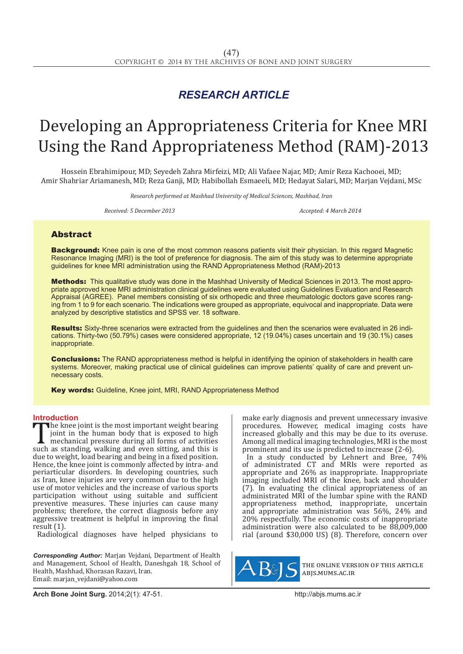## *RESEARCH ARTICLE*

# Developing an Appropriateness Criteria for Knee MRI Using the Rand Appropriateness Method (RAM)-2013

Hossein Ebrahimipour, MD; Seyedeh Zahra Mirfeizi, MD; Ali Vafaee Najar, MD; Amir Reza Kachooei, MD; Amir Shahriar Ariamanesh, MD; Reza Ganji, MD; Habibollah Esmaeeli, MD; Hedayat Salari, MD; Marjan Vejdani, MSc

*Research performed at Mashhad University of Medical Sciences, Mashhad, Iran*

*Received: 5 December 2013 Accepted: 4 March 2014*

### Abstract

Background: Knee pain is one of the most common reasons patients visit their physician. In this regard Magnetic Resonance Imaging (MRI) is the tool of preference for diagnosis. The aim of this study was to determine appropriate guidelines for knee MRI administration using the RAND Appropriateness Method (RAM)-2013

Methods: This qualitative study was done in the Mashhad University of Medical Sciences in 2013. The most appropriate approved knee MRI administration clinical guidelines were evaluated using Guidelines Evaluation and Research Appraisal (AGREE). Panel members consisting of six orthopedic and three rheumatologic doctors gave scores ranging from 1 to 9 for each scenario. The indications were grouped as appropriate, equivocal and inappropriate. Data were analyzed by descriptive statistics and SPSS ver. 18 software.

Results: Sixty-three scenarios were extracted from the guidelines and then the scenarios were evaluated in 26 indications. Thirty-two (50.79%) cases were considered appropriate, 12 (19.04%) cases uncertain and 19 (30.1%) cases inappropriate.

**Conclusions:** The RAND appropriateness method is helpful in identifying the opinion of stakeholders in health care systems. Moreover, making practical use of clinical guidelines can improve patients' quality of care and prevent unnecessary costs.

Key words: Guideline, Knee joint, MRI, RAND Appropriateness Method

**Introduction**<br>**The knee joint is the most important weight bearing** The knee joint is the most important weight bearing<br>
joint in the human body that is exposed to high<br>
mechanical pressure during all forms of activities<br>
such as standing, walking and even sitting, and this is<br>
due to weig joint in the human body that is exposed to high mechanical pressure during all forms of activities due to weight, load bearing and being in a fixed position. Hence, the knee joint is commonly affected by intra- and periarticular disorders. In developing countries, such as Iran, knee injuries are very common due to the high use of motor vehicles and the increase of various sports participation without using suitable and sufficient preventive measures. These injuries can cause many problems; therefore, the correct diagnosis before any aggressive treatment is helpful in improving the final result (1).

Radiological diagnoses have helped physicians to

*Corresponding Author:* Marjan Vejdani, Department of Health and Management, School of Health, Daneshgah 18, School of Health, Mashhad, Khorasan Razavi, Iran. Email: marjan\_vejdani@yahoo.com

make early diagnosis and prevent unnecessary invasive procedures. However, medical imaging costs have increased globally and this may be due to its overuse. Among all medical imaging technologies, MRI is the most prominent and its use is predicted to increase (2-6).

In a study conducted by Lehnert and Bree, 74% of administrated CT and MRIs were reported as appropriate and 26% as inappropriate. Inappropriate imaging included MRI of the knee, back and shoulder (7). In evaluating the clinical appropriateness of an administrated MRI of the lumbar spine with the RAND appropriateness method, inappropriate, uncertain and appropriate administration was 56%, 24% and 20% respectfully. The economic costs of inappropriate administration were also calculated to be 88,009,000 rial (around \$30,000 US) (8). Therefore, concern over



the online version of this article abjs.mums.ac.ir

**Arch Bone Joint Surg.** 2014;2(1): 47-51.http://abjs.mums.ac.ir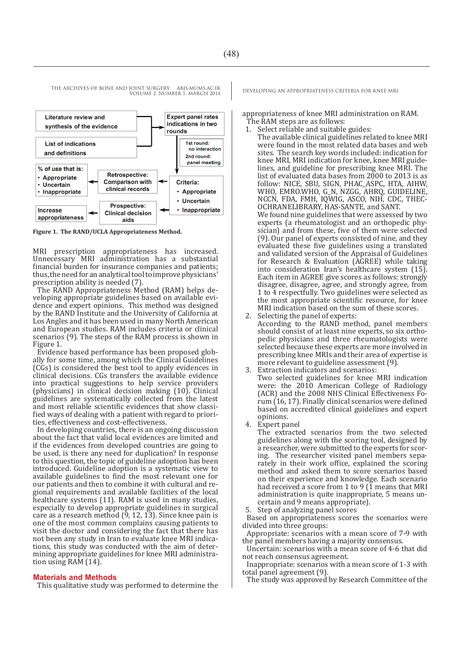VOLUME 2. NUMBER 1. MARCH 2014



**Figure 1. The RAND/UCLA Appropriateness Method.**

MRI prescription appropriateness has increased. Unnecessary MRI administration has a substantial financial burden for insurance companies and patients; thus, the need for an analytical tool to improve physicians' prescription ability is needed (7).

The RAND Appropriateness Method (RAM) helps developing appropriate guidelines based on available evidence and expert opinions. This method was designed by the RAND Institute and the University of California at Los Angles and it has been used in many North American and European studies. RAM includes criteria or clinical scenarios (9). The steps of the RAM process is shown in Figure 1.

Evidence based performance has been proposed globally for some time, among which the Clinical Guidelines (CGs) is considered the best tool to apply evidences in clinical decisions. CGs transfers the available evidence into practical suggestions to help service providers (physicians) in clinical decision making (10). Clinical guidelines are systematically collected from the latest and most reliable scientific evidences that show classified ways of dealing with a patient with regard to priorities, effectiveness and cost-effectiveness.

In developing countries, there is an ongoing discussion about the fact that valid local evidences are limited and if the evidences from developed countries are going to be used, is there any need for duplication? In response to this question, the topic of guideline adoption has been introduced. Guideline adoption is a systematic view to available guidelines to find the most relevant one for our patients and then to combine it with cultural and regional requirements and available facilities of the local healthcare systems (11). RAM is used in many studies, especially to develop appropriate guidelines in surgical care as a research method (9, 12, 13). Since knee pain is one of the most common complains causing patients to visit the doctor and considering the fact that there has not been any study in Iran to evaluate knee MRI indicamining appropriate guidelines for knee MRI administration using RAM (14).

#### **Materials and Methods**

This qualitative study was performed to determine the

THE ARCHIVES OF BONE AND JOINT SURGERY. ABJS.MUMS.AC.IR DEVELOPING AN APPROPRIATENESS CRITERIA FOR KNEE MRI

appropriateness of knee MRI administration on RAM. The RAM steps are as follows:

- 1. Select reliable and suitable guides:
- The available clinical guidelines related to knee MRI were found in the most related data bases and web sites. The search key words included: indication for knee MRI, MRI indication for knee, knee MRI guidelines, and guideline for prescribing knee MRI. The list of evaluated data bases from 2000 to 2013 is as follow: NICE, SBU, SIGN, PHAC\_ASPC, HTA, AIHW, WHO, EMRO.WHO, G\_N, NZGG, AHRQ, GUIDELINE, NCCN, FDA, FMH, IQWIG, ASCO, NIH, CDC, THEC-OCHRANELIBRARY, HAS-SANTE, and SANT. We found nine guidelines that were assessed by two experts (a rheumatologist and an orthopedic physician) and from these, five of them were selected (9). Our panel of experts consisted of nine, and they evaluated these five guidelines using a translated and validated version of the Appraisal of Guidelines for Research & Evaluation (AGREE) while taking into consideration Iran's healthcare system (15). Each item in AGREE give scores as follows: strongly disagree, disagree, agree, and strongly agree, from 1 to 4 respectfully. Two guidelines were selected as the most appropriate scientific resource, for knee MRI indication based on the sum of these scores.
- 2. Selecting the panel of experts: According to the RAND method, panel members should consist of at least nine experts, so six orthopedic physicians and three rheumatologists were selected because these experts are more involved in prescribing knee MRIs and their area of expertise is more relevant to guideline assessment (9).
- Extraction indicators and scenarios:
- Two selected guidelines for knee MRI indication were: the 2010 American College of Radiology (ACR) and the 2008 NHS Clinical Effectiveness Forum (16, 17). Finally clinical scenarios were defined based on accredited clinical guidelines and expert opinions.
- 4. Expert panel

The extracted scenarios from the two selected guidelines along with the scoring tool, designed by a researcher, were submitted to the experts for scoring. The researcher visited panel members separately in their work office, explained the scoring method and asked them to score scenarios based on their experience and knowledge. Each scenario had received a score from 1 to 9  $(1 \text{ means that } MRI)$ administration is quite inappropriate, 5 means uncertain and 9 means appropriate).

Step of analyzing panel scores

Based on appropriateness scores the scenarios were divided into three groups:

Appropriate: scenarios with a mean score of 7-9 with the panel members having a majority consensus.

Uncertain: scenarios with a mean score of 4-6 that did not reach consensus agreement.

Inappropriate: scenarios with a mean score of 1-3 with total panel agreement (9).

The study was approved by Research Committee of the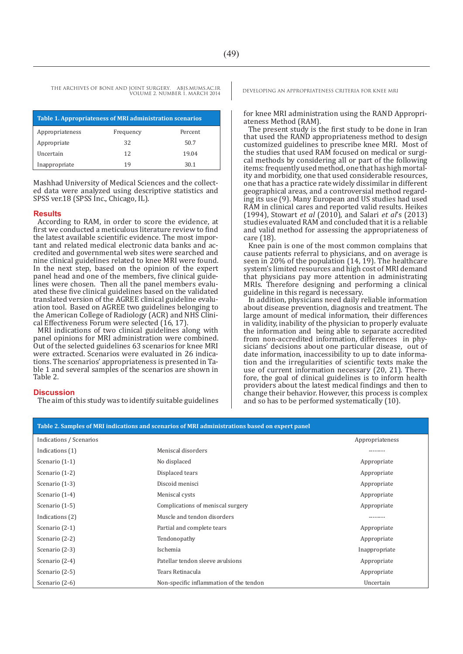THE ARCHIVES OF BONE AND JOINT SURGERY. ABJS.MUMS.AC.IR VOLUME 2. NUMBER 1. MARCH 2014

| Table 1. Appropriateness of MRI administration scenarios |           |         |  |
|----------------------------------------------------------|-----------|---------|--|
| Appropriateness                                          | Frequency | Percent |  |
| Appropriate                                              | 32        | 50.7    |  |
| Uncertain                                                | 12        | 19.04   |  |
| Inappropriate                                            | 19        | 30.1    |  |

Mashhad University of Medical Sciences and the collect- ed data were analyzed using descriptive statistics and SPSS ver.18 (SPSS Inc., Chicago, IL).

#### **Results**

According to RAM, in order to score the evidence, at first we conducted a meticulous literature review to find<br>the latest available scientific evidence. The most important and related medical electronic data banks and ac-<br>credited and governmental web sites were searched and nine clinical guidelines related to knee MRI were found. In the next step, based on the opinion of the expert panel head and one of the members, five clinical guidelines were chosen. Then all the panel members evaluated these five clinical guidelines based on the validated translated version of the AGREE clinical guideline evaluation tool. Based on AGREE two guidelines belonging to the American College of Radiology (ACR) and NHS Clinical Effectiveness Forum were selected (16, 17).

MRI indications of two clinical guidelines along with panel opinions for MRI administration were combined. Out of the selected guidelines 63 scenarios for knee MRI were extracted. Scenarios were evaluated in 26 indications. The scenarios' appropriateness is presented in Table 1 and several samples of the scenarios are shown in Table 2.

#### **Discussion**

The aim of this study was to identify suitable guidelines

DEVELOPING AN APPROPRIATENESS CRITERIA FOR KNEE MRI

for knee MRI administration using the RAND Appropriateness Method (RAM).

The present study is the first study to be done in Iran that used the RAND appropriateness method to design customized guidelines to prescribe knee MRI. Most of the studies that used RAM focused on medical or surgical methods by considering all or part of the following items: frequently used method, one that has high mortality and morbidity, one that used considerable resources, one that has a practice rate widely dissimilar in different geographical areas, and a controversial method regarding its use (9). Many European and US studies had used RAM in clinical cares and reported valid results. Heikes (1994), Stowart *et al* (2010), and Salari *et al*'s (2013) studies evaluated RAM and concluded that it is a reliable and valid method for assessing the appropriateness of care (18).

Knee pain is one of the most common complains that cause patients referral to physicians, and on average is seen in 20% of the population (14, 19). The healthcare system's limited resources and high cost of MRI demand that physicians pay more attention in administrating MRIs. Therefore designing and performing a clinical guideline in this regard is necessary.

In addition, physicians need daily reliable information about disease prevention, diagnosis and treatment. The large amount of medical information, their differences in validity, inability of the physician to properly evaluate the information and being able to separate accredited from non-accredited information, differences in physicians' decisions about one particular disease, out of date information, inaccessibility to up to date information and the irregularities of scientific texts make the use of current information necessary (20, 21). There-<br>fore, the goal of clinical guidelines is to inform health providers about the latest medical findings and then to change their behavior. However, this process is complex and so has to be performed systematically (10).

| Table 2. Samples of MRI indications and scenarios of MRI administrations based on expert panel |                                         |                 |  |
|------------------------------------------------------------------------------------------------|-----------------------------------------|-----------------|--|
| Indications / Scenarios                                                                        |                                         | Appropriateness |  |
| Indications (1)                                                                                | Meniscal disorders                      | --------        |  |
| Scenario (1-1)                                                                                 | No displaced                            | Appropriate     |  |
| Scenario (1-2)                                                                                 | Displaced tears                         | Appropriate     |  |
| Scenario (1-3)                                                                                 | Discoid menisci                         | Appropriate     |  |
| Scenario (1-4)                                                                                 | Meniscal cysts                          | Appropriate     |  |
| Scenario (1-5)                                                                                 | Complications of meniscal surgery       | Appropriate     |  |
| Indications (2)                                                                                | Muscle and tendon disorders             | --------        |  |
| Scenario (2-1)                                                                                 | Partial and complete tears              | Appropriate     |  |
| Scenario (2-2)                                                                                 | Tendonopathy                            | Appropriate     |  |
| Scenario (2-3)                                                                                 | Ischemia                                | Inappropriate   |  |
| Scenario (2-4)                                                                                 | Patellar tendon sleeve avulsions        | Appropriate     |  |
| Scenario (2-5)                                                                                 | Tears Retinacula                        | Appropriate     |  |
| Scenario (2-6)                                                                                 | Non-specific inflammation of the tendon | Uncertain       |  |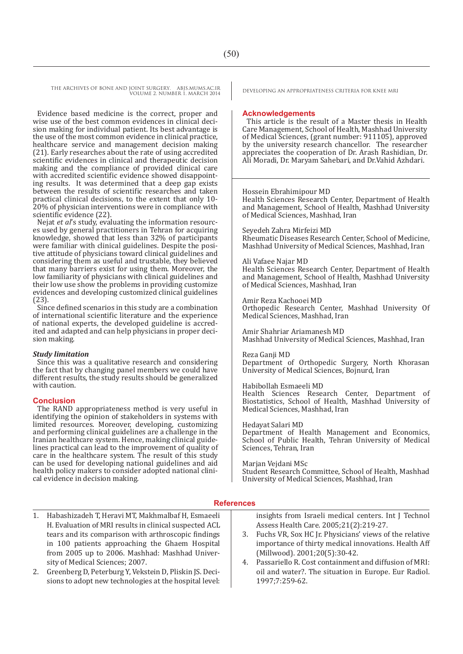THE ARCHIVES OF BONE AND JOINT SURGERY. ABJS.MUMS.AC.IR<br>VOUWELD MARCH 2014 VOLUME 2. NUMBER 1. MARCH 2014

Evidence based medicine is the correct, proper and wise use of the best common evidences in clinical decision making for individual patient. Its best advantage is the use of the most common evidence in clinical practice, healthcare service and management decision making (21). Early researches about the rate of using accredited scientific evidences in clinical and therapeutic decision making and the compliance of provided clinical care with accredited scientific evidence showed disappointing results. It was determined that a deep gap exists between the results of scientific researches and taken practical clinical decisions, to the extent that only 10- 20% of physician interventions were in compliance with scientific evidence (22).

Nejat *et al*'s study, evaluating the information resources used by general practitioners in Tehran for acquiring knowledge, showed that less than 32% of participants were familiar with clinical guidelines. Despite the positive attitude of physicians toward clinical guidelines and considering them as useful and trustable, they believed that many barriers exist for using them. Moreover, the low familiarity of physicians with clinical guidelines and their low use show the problems in providing customize evidences and developing customized clinical guidelines (23).

Since defined scenarios in this study are a combination of international scientific literature and the experience ited and adapted and can help physicians in proper deci-<br>sion making.

#### *Study limitation*

Since this was a qualitative research and considering the fact that by changing panel members we could have different results, the study results should be generalized with caution.

#### **Conclusion**

The RAND appropriateness method is very useful in identifying the opinion of stakeholders in systems with limited resources. Moreover, developing, customizing and performing clinical guidelines are a challenge in the Iranian healthcare system. Hence, making clinical guidelines practical can lead to the improvement of quality of care in the healthcare system. The result of this study can be used for developing national guidelines and aid health policy makers to consider adopted national clinical evidence in decision making.

#### **Acknowledgements**

This article is the result of a Master thesis in Health Care Management, School of Health, Mashhad University of Medical Sciences, (grant number: 911105), approved by the university research chancellor. The researcher appreciates the cooperation of Dr. Arash Rashidian, Dr. Ali Moradi, Dr. Maryam Sahebari, and Dr.Vahid Azhdari.

#### Hossein Ebrahimipour MD

Health Sciences Research Center, Department of Health and Management, School of Health, Mashhad University of Medical Sciences, Mashhad, Iran

Seyedeh Zahra Mirfeizi MD Rheumatic Diseases Research Center, School of Medicine, Mashhad University of Medical Sciences, Mashhad, Iran

#### Ali Vafaee Najar MD

Health Sciences Research Center, Department of Health and Management, School of Health, Mashhad University of Medical Sciences, Mashhad, Iran

Amir Reza Kachooei MD Orthopedic Research Center, Mashhad University Of Medical Sciences, Mashhad, Iran

Amir Shahriar Ariamanesh MD Mashhad University of Medical Sciences, Mashhad, Iran

#### Reza Ganji MD

Department of Orthopedic Surgery, North Khorasan University of Medical Sciences, Bojnurd, Iran

#### Habibollah Esmaeeli MD

Health Sciences Research Center, Department of Biostatistics, School of Health, Mashhad University of Medical Sciences, Mashhad, Iran

#### Hedayat Salari MD

Department of Health Management and Economics, School of Public Health, Tehran University of Medical Sciences, Tehran, Iran

Marjan Vejdani MSc Student Research Committee, School of Health, Mashhad University of Medical Sciences, Mashhad, Iran

#### **References**

- 1. Habashizadeh T, Heravi MT, Makhmalbaf H, Esmaeeli H. Evaluation of MRI results in clinical suspected ACL tears and its comparison with arthroscopic findings in 100 patients approaching the Ghaem Hospital from 2005 up to 2006. Mashhad: Mashhad University of Medical Sciences; 2007.
- 2. Greenberg D, Peterburg Y, Vekstein D, Pliskin JS. Decisions to adopt new technologies at the hospital level:

insights from Israeli medical centers. Int J Technol Assess Health Care. 2005;21(2):219-27.

- 3. Fuchs VR, Sox HC Jr. Physicians' views of the relative importance of thirty medical innovations. Health Aff (Millwood). 2001;20(5):30-42.
- 4. Passariello R. Cost containment and diffusion of MRI: oil and water?. The situation in Europe. Eur Radiol. 1997;7:259-62.